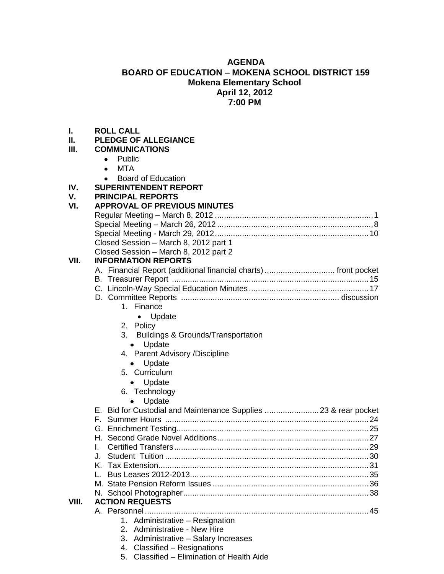# **AGENDA BOARD OF EDUCATION – MOKENA SCHOOL DISTRICT 159 Mokena Elementary School April 12, 2012 7:00 PM**

| I.    | <b>ROLL CALL</b>                                                |
|-------|-----------------------------------------------------------------|
| Н.    | <b>PLEDGE OF ALLEGIANCE</b>                                     |
| III.  | <b>COMMUNICATIONS</b>                                           |
|       | Public<br>$\bullet$                                             |
|       | <b>MTA</b><br>$\bullet$                                         |
|       | <b>Board of Education</b>                                       |
| IV.   | <b>SUPERINTENDENT REPORT</b>                                    |
| V.    | <b>PRINCIPAL REPORTS</b>                                        |
| VI.   | <b>APPROVAL OF PREVIOUS MINUTES</b>                             |
|       |                                                                 |
|       |                                                                 |
|       |                                                                 |
|       | Closed Session - March 8, 2012 part 1                           |
|       | Closed Session - March 8, 2012 part 2                           |
| VII.  | <b>INFORMATION REPORTS</b>                                      |
|       | A. Financial Report (additional financial charts)  front pocket |
|       |                                                                 |
|       |                                                                 |
|       |                                                                 |
|       | 1. Finance                                                      |
|       | • Update                                                        |
|       | 2. Policy                                                       |
|       | 3. Buildings & Grounds/Transportation                           |
|       | Update<br>$\bullet$                                             |
|       | 4. Parent Advisory /Discipline                                  |
|       | Update<br>$\bullet$                                             |
|       | 5. Curriculum                                                   |
|       | Update<br>$\bullet$                                             |
|       | 6. Technology                                                   |
|       | Update                                                          |
|       | E. Bid for Custodial and Maintenance Supplies  23 & rear pocket |
|       |                                                                 |
|       |                                                                 |
|       |                                                                 |
|       | L.                                                              |
|       | J.                                                              |
|       | K.                                                              |
|       |                                                                 |
|       |                                                                 |
|       |                                                                 |
| VIII. | <b>ACTION REQUESTS</b>                                          |
|       |                                                                 |
|       | 1. Administrative - Resignation                                 |

- 2. Administrative New Hire
- 3. Administrative Salary Increases
- 4. Classified Resignations
- 5. Classified Elimination of Health Aide